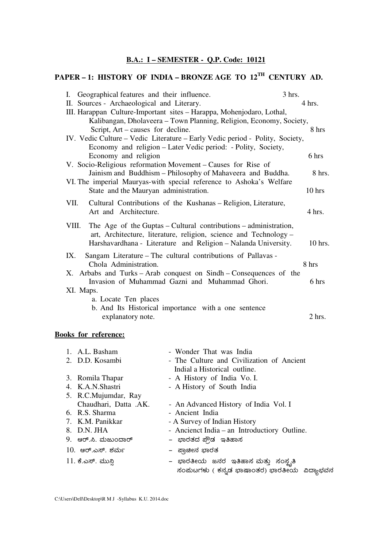## **B.A.: I – SEMESTER - Q.P. Code: 10121**

# **PAPER – 1: HISTORY OF INDIA – BRONZE AGE TO 12TH CENTURY AD.**

| I. Geographical features and their influence.                                | $3$ hrs. |
|------------------------------------------------------------------------------|----------|
| II. Sources - Archaeological and Literary.                                   | 4 hrs.   |
| III. Harappan Culture-Important sites – Harappa, Mohenjodaro, Lothal,        |          |
| Kalibangan, Dholaveera – Town Planning, Religion, Economy, Society,          |          |
| Script, Art – causes for decline.                                            | 8 hrs    |
| IV. Vedic Culture – Vedic Literature – Early Vedic period - Polity, Society, |          |
| Economy and religion – Later Vedic period: - Polity, Society,                |          |
| Economy and religion                                                         | 6 hrs    |
| V. Socio-Religious reformation Movement – Causes for Rise of                 |          |
| Jainism and Buddhism - Philosophy of Mahaveera and Buddha.                   | $8$ hrs. |
| VI. The imperial Mauryas-with special reference to Ashoka's Welfare          |          |
| State and the Mauryan administration.                                        | $10$ hrs |
| VII.<br>Cultural Contributions of the Kushanas – Religion, Literature,       |          |
| Art and Architecture.                                                        | 4 hrs.   |
|                                                                              |          |
| The Age of the Guptas – Cultural contributions – administration,<br>VIII.    |          |
| art, Architecture, literature, religion, science and Technology -            |          |
| Harshavardhana - Literature and Religion - Nalanda University.               | 10 hrs.  |
| Sangam Literature – The cultural contributions of Pallavas -<br>IX.          |          |
| Chola Administration.                                                        | 8 hrs    |
| X. Arbabs and Turks – Arab conquest on Sindh – Consequences of the           |          |
| Invasion of Muhammad Gazni and Muhammad Ghori.                               | 6 hrs    |
| XI. Maps.                                                                    |          |
| a. Locate Ten places                                                         |          |
| b. And Its Historical importance with a one sentence                         |          |
| explanatory note.                                                            | $2$ hrs. |

# **Books for reference:**

| 1. A.L. Basham        | - Wonder That was India                      |
|-----------------------|----------------------------------------------|
| 2. D.D. Kosambi       | - The Culture and Civilization of Ancient    |
|                       | Indial a Historical outline.                 |
| 3. Romila Thapar      | - A History of India Vo. I.                  |
| 4. K.A.N.Shastri      | - A History of South India                   |
| 5. R.C.Mujumdar, Ray  |                                              |
| Chaudhari, Datta .AK. | - An Advanced History of India Vol. I        |
| 6. R.S. Sharma        | - Ancient India                              |
| 7. K.M. Panikkar      | - A Survey of Indian History                 |
| 8. D.N. JHA           | - Ancienct India – an Introductiory Outline. |
| 9. ಆರ್.ಸಿ. ಮಜುಂದಾರ್   | –  ಭಾರತದ ಪ್ರೌಡ  ಇತಿಹಾಸ                       |
| 10. ಆರ್.ಎಸ್. ಶರ್ಮ     | –  ಪ್ರಾಚೀನ ಭಾರತ                              |
| 11. ಕೆ.ಎಸ್. ಮುನ್ಸಿ    | – ಭಾರತೀಯ ಜನರ ಇತಿಹಾಸ ಮತ್ತು ಸಂಸ್ಥೃತಿ           |

ಸಂಪುಟಗಳು ( ಕನ್ನಡ ಭಾಷಾಂತರ) ಭಾರತೀಯ ವಿದ್ಯಾಭವನ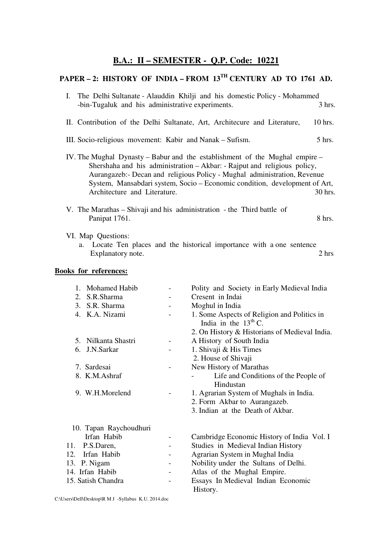## **B.A.: II – SEMESTER - Q.P. Code: 10221**

# **PAPER – 2: HISTORY OF INDIA – FROM 13TH CENTURY AD TO 1761 AD.**

| I. The Delhi Sultanate - Alauddin Khilji and his domestic Policy - Mohammed |           |
|-----------------------------------------------------------------------------|-----------|
| -bin-Tugaluk and his administrative experiments.                            | $3$ hrs.  |
|                                                                             |           |
| II. Contribution of the Delhi Sultanate, Art, Architecure and Literature,   | $10$ hrs. |
|                                                                             |           |
| III. Socio-religious movement: Kabir and Nanak – Sufism.                    | $5$ hrs.  |
|                                                                             |           |
| IV. The Mughal Dynasty – Babur and the establishment of the Mughal empire – |           |
| Shershaha and his administration - Akbar: - Rajput and religious policy,    |           |
| Aurangazeb:- Decan and religious Policy - Mughal administration, Revenue    |           |
| System, Mansabdari system, Socio – Economic condition, development of Art,  |           |
| Architecture and Literature.                                                | 30 hrs.   |

V. The Marathas – Shivaji and his administration - the Third battle of Panipat 1761. 8 hrs.

#### VI. Map Questions:

a. Locate Ten places and the historical importance with a one sentence Explanatory note. 2 hrs Explanatory note.

#### **Books for references:**

| Mohamed Habib<br>$1_{-}$ | Polity and Society in Early Medieval India    |
|--------------------------|-----------------------------------------------|
| 2. S.R.Sharma            | Cresent in Indai                              |
| 3. S.R. Sharma           | Moghul in India                               |
| 4. K.A. Nizami           | 1. Some Aspects of Religion and Politics in   |
|                          | India in the $13th$ C.                        |
|                          | 2. On History & Historians of Medieval India. |
| 5. Nilkanta Shastri      | A History of South India                      |
| 6. J.N.Sarkar            | 1. Shivaji & His Times                        |
|                          | 2. House of Shivaji                           |
| 7. Sardesai              | New History of Marathas                       |
| 8. K.M.Ashraf            | Life and Conditions of the People of          |
|                          | Hindustan                                     |
| 9. W.H.Morelend          | 1. Agrarian System of Mughals in India.       |
|                          | 2. Form Akbar to Aurangazeb.                  |
|                          | 3. Indian at the Death of Akbar.              |
| 10. Tapan Raychoudhuri   |                                               |
| Irfan Habib              | Cambridge Economic History of India Vol. I    |
| P.S.Daren,<br>11.        | Studies in Medieval Indian History            |
| Irfan Habib<br>12.       | Agrarian System in Mughal India               |
| 13. P. Nigam             | Nobility under the Sultans of Delhi.          |
| 14. Irfan Habib          | Atlas of the Mughal Empire.                   |
| 15. Satish Chandra       | Essays In Medieval Indian Economic            |
|                          | History.                                      |
|                          |                                               |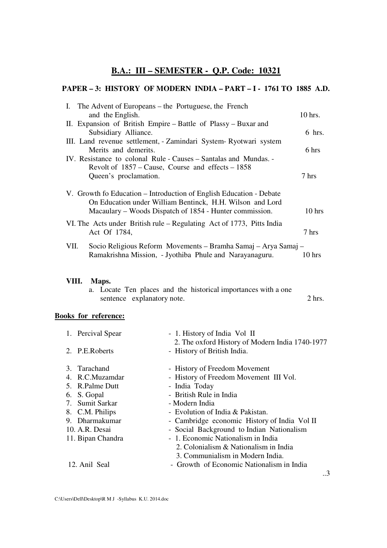# **B.A.: III – SEMESTER - Q.P. Code: 10321**

### **PAPER – 3: HISTORY OF MODERN INDIA – PART – I - 1761 TO 1885 A.D.**

|       | I. The Advent of Europeans – the Portuguese, the French<br>and the English.                                                                                                                 | 10 hrs.  |
|-------|---------------------------------------------------------------------------------------------------------------------------------------------------------------------------------------------|----------|
|       | II. Expansion of British Empire - Battle of Plassy - Buxar and<br>Subsidiary Alliance.                                                                                                      | $6$ hrs. |
|       | III. Land revenue settlement, - Zamindari System-Ryotwari system<br>Merits and demerits.                                                                                                    | 6 hrs    |
|       | IV. Resistance to colonal Rule - Causes – Santalas and Mundas. -<br>Revolt of $1857 - \text{Cause}, \text{Course}$ and effects $-1858$                                                      |          |
|       | Queen's proclamation.                                                                                                                                                                       | 7 hrs    |
|       | V. Growth fo Education – Introduction of English Education - Debate<br>On Education under William Bentinck, H.H. Wilson and Lord<br>Macaulary – Woods Dispatch of 1854 - Hunter commission. | $10$ hrs |
|       | VI. The Acts under British rule – Regulating Act of 1773, Pitts India<br>Act Of 1784,                                                                                                       | 7 hrs    |
| VII.  | Socio Religious Reform Movements - Bramha Samaj - Arya Samaj -<br>Ramakrishna Mission, - Jyothiba Phule and Narayanaguru.                                                                   | 10 hrs   |
| VIII. | Maps.<br>a. Locate Ten places and the historical importances with a one<br>sentence explanatory note.                                                                                       | $2$ hrs. |
|       | <b>Books for reference:</b>                                                                                                                                                                 |          |

| 1. Percival Spear | - 1. History of India Vol II                                                   |
|-------------------|--------------------------------------------------------------------------------|
| 2. P.E.Roberts    | 2. The oxford History of Modern India 1740-1977<br>- History of British India. |
| 3. Tarachand      | - History of Freedom Movement                                                  |
| 4. R.C.Muzamdar   | - History of Freedom Movement III Vol.                                         |
| 5. R.Palme Dutt   | - India Today                                                                  |
| 6. S. Gopal       | - British Rule in India                                                        |
| 7. Sumit Sarkar   | - Modern India                                                                 |
| 8. C.M. Philips   | - Evolution of India & Pakistan.                                               |
| 9. Dharmakumar    | - Cambridge economic History of India Vol II                                   |
| 10. A.R. Desai    | - Social Background to Indian Nationalism                                      |
| 11. Bipan Chandra | - 1. Economic Nationalism in India                                             |
|                   | 2. Colonialism & Nationalism in India                                          |
|                   | 3. Communialism in Modern India.                                               |
| 12. Anil Seal     | - Growth of Economic Nationalism in India                                      |
|                   |                                                                                |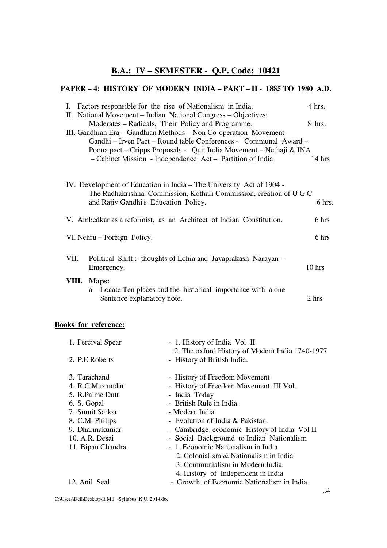# **B.A.: IV – SEMESTER - Q.P. Code: 10421**

### **PAPER – 4: HISTORY OF MODERN INDIA – PART – II - 1885 TO 1980 A.D.**

|       | I. Factors responsible for the rise of Nationalism in India.                                                                               | 4 hrs.           |
|-------|--------------------------------------------------------------------------------------------------------------------------------------------|------------------|
|       | II. National Movement – Indian National Congress – Objectives:                                                                             |                  |
|       | Moderates – Radicals, Their Policy and Programme.                                                                                          | 8 hrs.           |
|       | III. Gandhian Era – Gandhian Methods – Non Co-operation Movement -                                                                         |                  |
|       | Gandhi – Irven Pact – Round table Conferences - Communal Award –                                                                           |                  |
|       | Poona pact – Cripps Proposals - Quit India Movement – Nethaji & INA                                                                        |                  |
|       | - Cabinet Mission - Independence Act - Partition of India                                                                                  | $14 \text{ hrs}$ |
|       |                                                                                                                                            |                  |
|       | IV. Development of Education in India – The University Act of 1904 -<br>The Radhakrishna Commission, Kothari Commission, creation of U G C |                  |
|       |                                                                                                                                            | 6 hrs.           |
|       | and Rajiv Gandhi's Education Policy.                                                                                                       |                  |
|       | V. Ambedkar as a reformist, as an Architect of Indian Constitution.                                                                        | 6 hrs            |
|       | VI. Nehru – Foreign Policy.                                                                                                                | 6 hrs            |
|       |                                                                                                                                            |                  |
| VII.  | Political Shift: thoughts of Lohia and Jayaprakash Narayan -                                                                               |                  |
|       | Emergency.                                                                                                                                 | $10$ hrs         |
| VIII. | Maps:                                                                                                                                      |                  |
|       | a. Locate Ten places and the historical importance with a one                                                                              |                  |
|       | Sentence explanatory note.                                                                                                                 | $2$ hrs.         |
|       |                                                                                                                                            |                  |

## **Books for reference:**

| 1. Percival Spear | - 1. History of India Vol II                    |  |
|-------------------|-------------------------------------------------|--|
|                   | 2. The oxford History of Modern India 1740-1977 |  |
| 2. P.E.Roberts    | - History of British India.                     |  |
|                   |                                                 |  |
| 3. Tarachand      | - History of Freedom Movement                   |  |
| 4. R.C.Muzamdar   | - History of Freedom Movement III Vol.          |  |
| 5. R.Palme Dutt   | - India Today                                   |  |
| 6. S. Gopal       | - British Rule in India                         |  |
| 7. Sumit Sarkar   | - Modern India                                  |  |
| 8. C.M. Philips   | - Evolution of India & Pakistan.                |  |
| 9. Dharmakumar    | - Cambridge economic History of India Vol II    |  |
| 10. A.R. Desai    | - Social Background to Indian Nationalism       |  |
| 11. Bipan Chandra | - 1. Economic Nationalism in India              |  |
|                   | 2. Colonialism & Nationalism in India           |  |
|                   | 3. Communialism in Modern India.                |  |
|                   | 4. History of Independent in India              |  |
| 12. Anil Seal     | - Growth of Economic Nationalism in India       |  |
|                   |                                                 |  |
|                   |                                                 |  |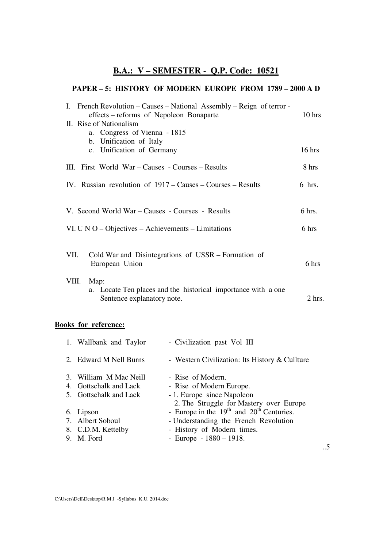# **B.A.: V – SEMESTER - Q.P. Code: 10521**

#### **PAPER – 5: HISTORY OF MODERN EUROPE FROM 1789 – 2000 A D**

| I. French Revolution – Causes – National Assembly – Reign of terror -<br>effects – reforms of Nepoleon Bonaparte | $10$ hrs |
|------------------------------------------------------------------------------------------------------------------|----------|
| II. Rise of Nationalism                                                                                          |          |
| a. Congress of Vienna - 1815                                                                                     |          |
| b. Unification of Italy                                                                                          |          |
| c. Unification of Germany                                                                                        | $16$ hrs |
| III. First World War – Causes - Courses – Results                                                                | 8 hrs    |
| IV. Russian revolution of 1917 – Causes – Courses – Results                                                      | $6$ hrs. |
|                                                                                                                  |          |
|                                                                                                                  |          |
| V. Second World War - Causes - Courses - Results                                                                 | 6 hrs.   |
| VI. U N O – Objectives – Achievements – Limitations                                                              | 6 hrs    |
| Cold War and Disintegrations of USSR – Formation of<br>VII.<br>European Union                                    | 6 hrs    |
| VIII.<br>Map:<br>a. Locate Ten places and the historical importance with a one<br>Sentence explanatory note.     | $2$ hrs. |

## **Books for reference:**

| - Western Civilization: Its History $&$ Cullture |
|--------------------------------------------------|
|                                                  |
|                                                  |
|                                                  |
|                                                  |
| 2. The Struggle for Mastery over Europe          |
|                                                  |
|                                                  |
|                                                  |
|                                                  |
| - Europe in the $19th$ and $20th$ Centuries.     |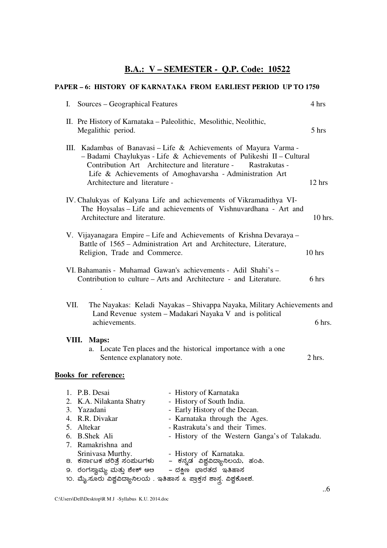# **B.A.: V – SEMESTER - Q.P. Code: 10522**

| PAPER - 6: HISTORY OF KARNATAKA FROM EARLIEST PERIOD UP TO 1750                                                                                                                                                                                                                                                                                            |           |  |  |  |
|------------------------------------------------------------------------------------------------------------------------------------------------------------------------------------------------------------------------------------------------------------------------------------------------------------------------------------------------------------|-----------|--|--|--|
| Sources – Geographical Features<br>$\mathbf{I}$ .                                                                                                                                                                                                                                                                                                          | 4 hrs     |  |  |  |
| II. Pre History of Karnataka – Paleolithic, Mesolithic, Neolithic,<br>Megalithic period.                                                                                                                                                                                                                                                                   | 5 hrs     |  |  |  |
| III. Kadambas of Banavasi – Life & Achievements of Mayura Varma -<br>- Badami Chaylukyas - Life & Achievements of Pulikeshi II - Cultural<br>Contribution Art Architecture and literature - Rastrakutas -<br>Life & Achievements of Amoghavarsha - Administration Art<br>Architecture and literature -                                                     | 12 hrs    |  |  |  |
| IV. Chalukyas of Kalyana Life and achievements of Vikramadithya VI-<br>The Hoysalas – Life and achievements of Vishnuvardhana - Art and<br>Architecture and literature.                                                                                                                                                                                    | $10$ hrs. |  |  |  |
| V. Vijayanagara Empire – Life and Achievements of Krishna Devaraya –<br>Battle of 1565 - Administration Art and Architecture, Literature,<br>Religion, Trade and Commerce.                                                                                                                                                                                 | 10 hrs    |  |  |  |
| VI. Bahamanis - Muhamad Gawan's achievements - Adil Shahi's -<br>Contribution to culture – Arts and Architecture - and Literature.                                                                                                                                                                                                                         | 6 hrs     |  |  |  |
| VII.<br>The Nayakas: Keladi Nayakas – Shivappa Nayaka, Military Achievements and<br>Land Revenue system - Madakari Nayaka V and is political<br>achievements.                                                                                                                                                                                              | 6 hrs.    |  |  |  |
| VIII. Maps:<br>a. Locate Ten places and the historical importance with a one<br>Sentence explanatory note.                                                                                                                                                                                                                                                 | 2 hrs.    |  |  |  |
| <b>Books for reference:</b>                                                                                                                                                                                                                                                                                                                                |           |  |  |  |
| 1. P.B. Desai<br>- History of Karnataka<br>- History of South India.<br>2. K.A. Nilakanta Shatry<br>3. Yazadani<br>- Early History of the Decan.<br>4. R.R. Divakar<br>- Karnataka through the Ages.<br>- Rastrakuta's and their Times.<br>5.<br>Altekar<br><b>B.Shek Ali</b><br>- History of the Western Ganga's of Talakadu.<br>6.<br>7. Ramakrishna and |           |  |  |  |

- Srinivasa Murthy.  **History of Karnataka**. 8. ಕರ್ನಾಟಕ ಚರಿತ್ರೆ ಸಂಮಟಗಳು – ಕನ್ನಡ ವಿಶ್ವವಿದ್ಯಾನಿಲಯ, ಹಂಪಿ. 9. ರಂಗಸ್ವಾಮ್ಯ ಮತ್ತು ಶೇಕ್ ಆಅ – ದಕ್ಷಿಣ ಭಾರತದ ಇತಿಹಾಸ
- 10. ಮೈ.ಸೂರು ವಿಶ್ವವಿದ್ಯಾನಿಲಯ . ಇತಿಹಾಸ & ಪ್ರಾಕ್ತನ ಶಾಸ್ತ್ರ. ವಿಶ್ವಕೋಶ.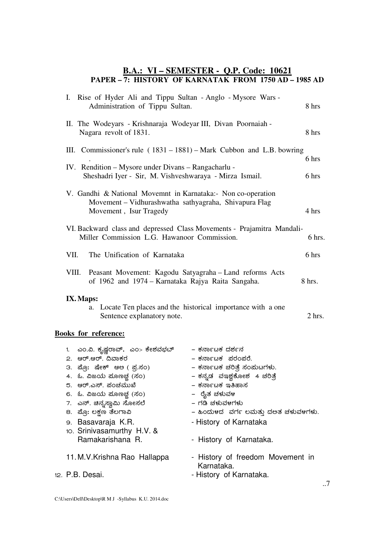#### **B.A.: VI – SEMESTER - Q.P. Code: 10621 PAPER – 7: HISTORY OF KARNATAK FROM 1750 AD – 1985 AD**

| I. Rise of Hyder Ali and Tippu Sultan - Anglo - Mysore Wars -<br>Administration of Tippu Sultan.                                                                                                                                                                                                     |                                                                                                                                                                                                                                                   | 8 hrs             |
|------------------------------------------------------------------------------------------------------------------------------------------------------------------------------------------------------------------------------------------------------------------------------------------------------|---------------------------------------------------------------------------------------------------------------------------------------------------------------------------------------------------------------------------------------------------|-------------------|
| II. The Wodeyars - Krishnaraja Wodeyar III, Divan Poornaiah -<br>Nagara revolt of 1831.                                                                                                                                                                                                              |                                                                                                                                                                                                                                                   | 8 hrs             |
| III. Commissioner's rule $(1831 - 1881)$ – Mark Cubbon and L.B. bowring                                                                                                                                                                                                                              |                                                                                                                                                                                                                                                   | 6 hrs             |
| IV. Rendition – Mysore under Divans – Rangacharlu -<br>Sheshadri Iyer - Sir, M. Vishveshwaraya - Mirza Ismail.                                                                                                                                                                                       |                                                                                                                                                                                                                                                   | 6 hrs             |
| V. Gandhi & National Movemnt in Karnataka: Non co-operation<br>Movement - Vidhurashwatha sathyagraha, Shivapura Flag<br>Movement, Isur Tragedy                                                                                                                                                       |                                                                                                                                                                                                                                                   | 4 hrs             |
| VI. Backward class and depressed Class Movements - Prajamitra Mandali-<br>Miller Commission L.G. Hawanoor Commission.                                                                                                                                                                                |                                                                                                                                                                                                                                                   | 6 hrs.            |
| VII.<br>The Unification of Karnataka                                                                                                                                                                                                                                                                 |                                                                                                                                                                                                                                                   | 6 hrs             |
| VIII. Peasant Movement: Kagodu Satyagraha - Land reforms Acts<br>of 1962 and 1974 – Karnataka Rajya Raita Sangaha.                                                                                                                                                                                   |                                                                                                                                                                                                                                                   | 8 hrs.            |
| IX. Maps:<br>а.<br>Sentence explanatory note.                                                                                                                                                                                                                                                        | Locate Ten places and the historical importance with a one                                                                                                                                                                                        | $2$ hrs.          |
| <b>Books for reference:</b>                                                                                                                                                                                                                                                                          |                                                                                                                                                                                                                                                   |                   |
| ಎಂ.ವಿ. ಕೃಷ್ಣರಾವ್,  ಎಂ> ಕೇಶವಭದ್<br>1.<br>2. ಆರ್.ಆರ್. ದಿವಾಕರ<br>3. ಪ್ರೋ: ಷೇಕ್ ಆಲ ( ಪ್ರ.ಸಂ)<br>4. ಓ. ವಿಜಯ ಮೂಣಚ್ಚ (ಸಂ)<br>5. ಆರ್.ಎಸ್. ಪಂಚಮುಖೆ<br>6. ಓ. ವಿಜಯ ಮೂಣಚ್ಚ (ಸಂ)<br>7.  ಎನ್. ಚಿನ್ನಸ್ವಾಮಿ ಸೋಸಲೆ<br>8.  ಪ್ರೊ: ಲಕ್ಷಣ ತೆಲಗಾವಿ<br>э. Basavaraja K.R.<br>10. Srinivasamurthy H.V. &<br>Ramakarishana R. | – ಕರ್ನಾಟಕ ದರ್ಶನ<br>– ಕರ್ನಾಟಕ ಪರಂಪರೆ.<br>– ಕರ್ನಾಟಕ ಚರಿತ್ರೆ ಸಂಮಟಗಳು.<br>– ಕನ್ನಡ ವಇಶ್ವಕೋಶ 4 ಚರಿತ್ರೆ<br>– ಕರ್ನಾಟಕ ಇತಿಹಾಸ<br>– ರೈತ ಚಳುವಳ<br>– ಗಡಿ ಚಳುವಳಗಳು<br>– ಹಿಂದುಳದ ಪರ್ಗ ಲಮತ್ತು ದಲತ ಚಳುವಳಗಳು.<br>- History of Karnataka<br>- History of Karnataka. |                   |
| 11. M.V. Krishna Rao Hallappa<br>12. P.B. Desai.                                                                                                                                                                                                                                                     | - History of freedom Movement in<br>Karnataka.                                                                                                                                                                                                    |                   |
|                                                                                                                                                                                                                                                                                                      | - History of Karnataka.                                                                                                                                                                                                                           | $\cdot$ . $\cdot$ |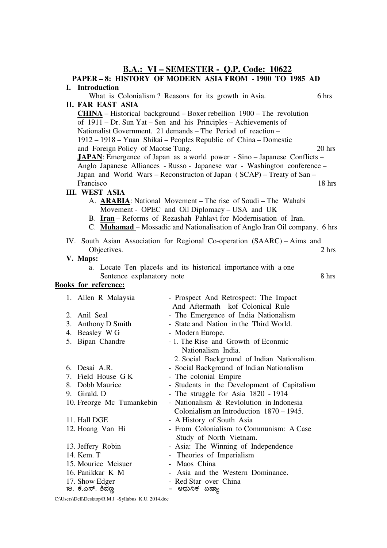# **B.A.: VI – SEMESTER - Q.P. Code: 10622**

| PAPER - 8: HISTORY OF MODERN ASIA FROM - 1900 TO 1985 AD |                                                                                  |                                                                            |                 |
|----------------------------------------------------------|----------------------------------------------------------------------------------|----------------------------------------------------------------------------|-----------------|
|                                                          | I. Introduction                                                                  |                                                                            |                 |
|                                                          |                                                                                  | What is Colonialism? Reasons for its growth in Asia.                       | 6 hrs           |
|                                                          | <b>II. FAR EAST ASIA</b>                                                         |                                                                            |                 |
|                                                          | $CHINA - Historical background - Boxer relation 1900 - The revolution$           |                                                                            |                 |
|                                                          |                                                                                  | of 1911 – Dr. Sun Yat – Sen and his Principles – Achievements of           |                 |
|                                                          |                                                                                  | Nationalist Government. 21 demands – The Period of reaction –              |                 |
|                                                          |                                                                                  | 1912 – 1918 – Yuan Shikai – Peoples Republic of China – Domestic           |                 |
|                                                          | and Foreign Policy of Maotse Tung.                                               |                                                                            | $20$ hrs        |
|                                                          | <b>JAPAN</b> : Emergence of Japan as a world power - Sino - Japanese Conflicts - |                                                                            |                 |
|                                                          |                                                                                  | Anglo Japanese Alliances - Russo - Japanese war - Washington conference -  |                 |
|                                                          |                                                                                  | Japan and World Wars - Reconstructon of Japan (SCAP) - Treaty of San -     |                 |
|                                                          | Francisco                                                                        |                                                                            | $18$ hrs        |
|                                                          | <b>III. WEST ASIA</b>                                                            |                                                                            |                 |
|                                                          |                                                                                  | A. <b>ARABIA</b> : National Movement – The rise of Soudi – The Wahabi      |                 |
|                                                          |                                                                                  | Movement - OPEC and Oil Diplomacy – USA and UK                             |                 |
|                                                          |                                                                                  | B. Iran - Reforms of Rezashah Pahlavi for Modernisation of Iran.           |                 |
|                                                          |                                                                                  | C. Muhamad – Mossadic and Nationalisation of Anglo Iran Oil company. 6 hrs |                 |
|                                                          |                                                                                  | IV. South Asian Association for Regional Co-operation (SAARC) - Aims and   |                 |
|                                                          | Objectives.                                                                      |                                                                            | $2 \text{ hrs}$ |
|                                                          | V. Maps:                                                                         |                                                                            |                 |
|                                                          |                                                                                  | a. Locate Ten place4s and its historical importance with a one             |                 |
|                                                          | Sentence explanatory note                                                        |                                                                            | 8 hrs           |
| <b>Books for reference:</b>                              |                                                                                  |                                                                            |                 |
|                                                          | 1. Allen R Malaysia                                                              | - Prospect And Retrospect: The Impact                                      |                 |
|                                                          |                                                                                  | And Aftermath kof Colonical Rule                                           |                 |
|                                                          | 2. Anil Seal                                                                     | - The Emergence of India Nationalism                                       |                 |
|                                                          | 3. Anthony D Smith                                                               | - State and Nation in the Third World.                                     |                 |
|                                                          | 4. Beasley WG                                                                    | - Modern Europe.                                                           |                 |
|                                                          | 5. Bipan Chandre                                                                 | - 1. The Rise and Growth of Econmic                                        |                 |
|                                                          |                                                                                  | Nationalism India.                                                         |                 |
|                                                          |                                                                                  | 2. Social Background of Indian Nationalism.                                |                 |
|                                                          | 6. Desai A.R.                                                                    | - Social Background of Indian Nationalism                                  |                 |
|                                                          | 7. Field House G K                                                               | - The colonial Empire                                                      |                 |
|                                                          | 8. Dobb Maurice                                                                  | - Students in the Development of Capitalism                                |                 |
|                                                          | 9. Girald. D                                                                     | - The struggle for Asia 1820 - 1914                                        |                 |
|                                                          | 10. Freorge Mc Tumankebin                                                        | - Nationalism & Revlolution in Indonesia                                   |                 |
|                                                          |                                                                                  | Colonialism an Introduction 1870 - 1945.                                   |                 |
|                                                          | 11. Hall DGE                                                                     | - A History of South Asia                                                  |                 |
|                                                          | 12. Hoang Van Hi                                                                 | - From Colonialism to Communism: A Case                                    |                 |
|                                                          |                                                                                  | Study of North Vietnam.                                                    |                 |
|                                                          | 13. Jeffery Robin                                                                | - Asia: The Winning of Independence                                        |                 |
|                                                          | 14. Kem. T                                                                       | - Theories of Imperialism                                                  |                 |
|                                                          | 15. Mourice Meisuer                                                              | - Maos China                                                               |                 |
|                                                          | 16. Panikkar K M                                                                 | - Asia and the Western Dominance.                                          |                 |
|                                                          | 17. Show Edger                                                                   | - Red Star over China                                                      |                 |
|                                                          | 18. ಕೆ.ಎಸ್. ಶಿವೆಣ್ಣ                                                              | – ಆಧುನಿಕ ಏಷ್ಯಾ                                                             |                 |

C:\Users\Dell\Desktop\R M J -Syllabus K.U. 2014.doc